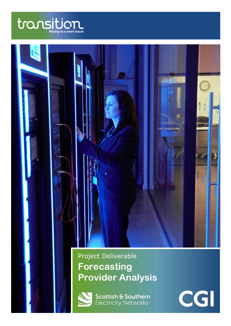



Project Deliverable **Forecasting Provider Analysis**



**Scottish & Southern**<br>Electricity Networks

CGI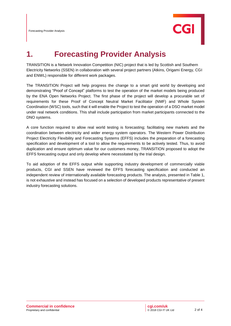

## **1. Forecasting Provider Analysis**

TRANSITION is a Network Innovation Competition (NIC) project that is led by Scottish and Southern Electricity Networks (SSEN) in collaboration with several project partners (Atkins, Origami Energy, CGI and ENWL) responsible for different work packages.

The TRANSITION Project will help progress the change to a smart grid world by developing and demonstrating "Proof of Concept" platforms to test the operation of the market models being produced by the ENA Open Networks Project. The first phase of the project will develop a procurable set of requirements for these Proof of Concept Neutral Market Facilitator (NMF) and Whole System Coordination (WSC) tools, such that it will enable the Project to test the operation of a DSO market model under real network conditions. This shall include participation from market participants connected to the DNO systems.

A core function required to allow real world testing is forecasting; facilitating new markets and the coordination between electricity and wider energy system operators. The Western Power Distribution Project Electricity Flexibility and Forecasting Systems (EFFS) includes the preparation of a forecasting specification and development of a tool to allow the requirements to be actively tested. Thus, to avoid duplication and ensure optimum value for our customers money, TRANSITION proposed to adopt the EFFS forecasting output and only develop where necessitated by the trial design.

To aid adoption of the EFFS output while supporting industry development of commercially viable products, CGI and SSEN have reviewed the EFFS forecasting specification and conducted an independent review of internationally available forecasting products. The analysis, presented in Table 1, is not exhaustive and instead has focused on a selection of developed products representative of present industry forecasting solutions.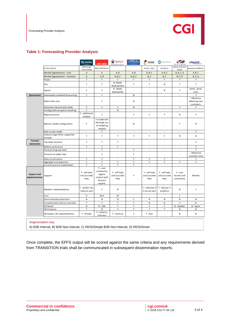

## **Table 1: Forecasting Provider Analysis**

|                                                                                                           |                                          | Ssas                                  | ,,,                                                                        | <b>BRADY</b>                          | $\mathcal{M}$ tesla $_{N}$ | <b>ENSEK</b>                          | dunstanthomas                         | KZ.                                 | .: AleaSoft                              |
|-----------------------------------------------------------------------------------------------------------|------------------------------------------|---------------------------------------|----------------------------------------------------------------------------|---------------------------------------|----------------------------|---------------------------------------|---------------------------------------|-------------------------------------|------------------------------------------|
|                                                                                                           | Product Name                             | <b>SAS Energy</b><br>Forecasting      | MetrixiDR Retail                                                           |                                       |                            | Ensek - Libra                         | GenStar4                              | Aiolos Forecast<br>Studio           | Alea Demand Retail                       |
|                                                                                                           | Market Segmentation - Cost               | A                                     | A                                                                          | A, B                                  | A, B                       | A, B, C                               | A, B, C                               | A, B, C, D                          | A, B, C                                  |
|                                                                                                           | Market Segmentation - Function           | $\overline{A}$                        | A, B                                                                       | A, B, C                               | A, B, C                    | B, C                                  | B, C                                  | <b>B, C, D</b>                      | <b>B, C, D</b>                           |
|                                                                                                           | Power                                    | Y                                     | Y                                                                          | Υ                                     | Y                          | Y                                     | Υ                                     | Υ                                   | Υ                                        |
|                                                                                                           | Gas                                      | Y                                     | Υ                                                                          | N-Needs<br>development                | Y                          | Y                                     | N                                     | Υ                                   | Y                                        |
|                                                                                                           | Export                                   | Y                                     | Y                                                                          | N - Needs<br>devel opmet              |                            | ×,                                    | N                                     | Y                                   | Some - wind,<br>solar                    |
| <b>Operational</b>                                                                                        | Automated scheduled forecasting          | Υ                                     | Υ                                                                          | $\sim$                                | N                          | ×,                                    | ٠                                     | ×,                                  | Υ                                        |
|                                                                                                           | Retail data sync                         | ä,                                    | Y                                                                          | ÷.                                    | N                          |                                       |                                       | ×,                                  | ? Mentions<br>detecting new<br>customers |
|                                                                                                           | Automate inbound data feeds              | Υ                                     | Υ                                                                          | Υ                                     | N                          | ä,                                    | ÷,                                    | Υ                                   | Υ                                        |
|                                                                                                           | Configurable exception handling          | Y                                     | $\sim$                                                                     | N                                     | $\bar{\phantom{a}}$        | $\overline{\phantom{a}}$              | ÷,                                    | $\sim$                              | $\overline{\phantom{a}}$                 |
|                                                                                                           | Report function                          | Y - additional<br>module              | Υ                                                                          | J.                                    | Y                          | Υ                                     | Υ                                     | N                                   | Υ                                        |
|                                                                                                           | Manual model configuration               | Y                                     | ? suspect yes<br>thorough use<br>of modeling<br>module                     |                                       | N                          |                                       |                                       | Υ                                   | N                                        |
|                                                                                                           | Auto assign model                        | $\overline{\phantom{a}}$              | Υ                                                                          | $\overline{\phantom{a}}$              | $\sim$                     | ٠                                     | ٠                                     | $\sim$                              | Υ                                        |
|                                                                                                           | Industry algorithms supported<br>already | Y                                     | Y                                                                          | Υ                                     | Y                          | Y                                     | Υ                                     | N                                   | N                                        |
| <b>Forecast</b><br><b>Generation</b>                                                                      | Top down forecast                        | Υ                                     | Υ                                                                          | Υ                                     | ä,                         | ä                                     | ×,                                    | ł,                                  | Υ                                        |
|                                                                                                           | Bottom up forecast                       | Υ                                     | Υ                                                                          | Y                                     | $\sim$                     | ×                                     | ×.                                    | ×.                                  | Y                                        |
|                                                                                                           | Forecast at group level                  | $\overline{\phantom{a}}$              | Υ                                                                          | $\overline{\phantom{a}}$              | Υ                          | $\sim$                                | ٠                                     | ٠                                   | Υ                                        |
|                                                                                                           | Forecast at meter level                  | ä,                                    | Y                                                                          | J.                                    | Y                          | ä,                                    | ٠                                     | ä,                                  | ? Mentions<br>customer level             |
|                                                                                                           | Data visualisation                       | Y                                     | Y                                                                          | $\overline{a}$                        | Y                          | Y                                     | Υ                                     | ٠                                   | Y                                        |
|                                                                                                           | Aggregate and apportion                  | Υ                                     | Υ                                                                          | Υ                                     | Υ                          | Υ                                     | Υ                                     | Υ                                   | Υ                                        |
|                                                                                                           | Issue forecast to stakeholders           | Y                                     | Y                                                                          | Y                                     | Y                          | $\overline{\phantom{a}}$              | ÷.                                    | ä,                                  | ÷.                                       |
| <b>Support and</b><br><b>Implementation</b>                                                               | Support                                  | Y - self help<br>and assisted<br>help | $Y - user$<br>community,<br>regular<br>contact with<br>forecast<br>experts | Y - self help<br>and assisted<br>help | Υ                          | Y - self help<br>and assisted<br>help | Y - self help<br>and assisted<br>help | Y - user<br>forums and<br>community | Remote                                   |
|                                                                                                           | Modular implementation-                  | Y - vendor less<br>likely to split    | Υ                                                                          | N                                     |                            | Y - unknown if<br>it can be split     | Y - Genstar 4<br>platform             | N                                   | Υ                                        |
|                                                                                                           | Cost                                     | н                                     | M-H                                                                        | м                                     | $\sim$                     | ٠                                     | ٠                                     | L                                   | $\sim$                                   |
|                                                                                                           | Service based proposition                | ${\sf N}$                             | N                                                                          | N                                     | Υ                          | N                                     | N                                     | ${\sf N}$                           | N                                        |
|                                                                                                           | Cloud/hosted solution available          | Υ                                     | Y                                                                          | Υ                                     | Υ                          | N                                     | N                                     | Υ                                   | N                                        |
|                                                                                                           | UK Based                                 | N                                     | N - USA                                                                    | Υ                                     | Υ                          | Υ                                     | Υ                                     | N - Sweden                          | N - Spain                                |
|                                                                                                           | UK Presence                              | Y                                     | N                                                                          | Y                                     | Y                          | Y                                     | Υ                                     | N                                   | ${\sf N}$                                |
|                                                                                                           | Achieved a UK implementation             | Y - nPower                            | Y - Centrica<br>Smartest                                                   | Y - Centrica                          | Υ                          | $Y - Ovo$                             | ä,                                    | N                                   | N                                        |
| Segmentation key:<br>A) B2B Interval, B) B2B Non-interval, C) RESI/Simple B2B Non-Interval, D) RESI/Smart |                                          |                                       |                                                                            |                                       |                            |                                       |                                       |                                     |                                          |

Once complete, the EFFS output will be scored against the same criteria and any requirements derived from TRANSITION trials shall be communicated in subsequent dissemination reports.